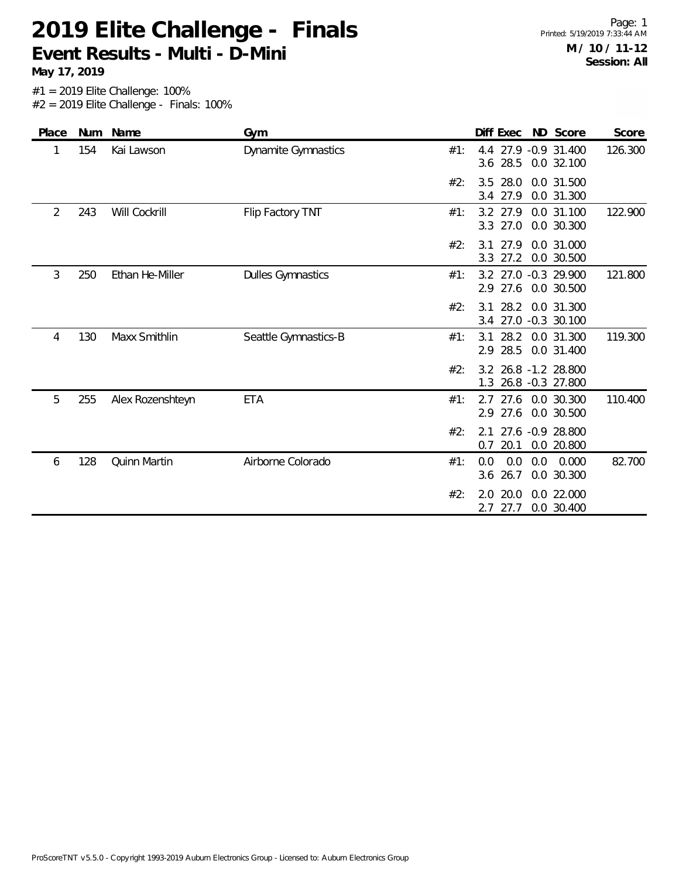#1 = 2019 Elite Challenge: 100% **May 17, 2019**

 $#2 = 2019$  Elite Challenge - Finals: 100%

| Place          | Num | Name                | Gym                      |     | Diff Exec                           |     | ND Score                       | Score   |
|----------------|-----|---------------------|--------------------------|-----|-------------------------------------|-----|--------------------------------|---------|
| 1              | 154 | Kai Lawson          | Dynamite Gymnastics      | #1: | 4.4<br>28.5<br>3.6                  |     | 27.9 -0.9 31.400<br>0.0 32.100 | 126.300 |
|                |     |                     |                          | #2: | 28.0<br>3.5<br>27.9<br>3.4          |     | 0.0 31.500<br>0.0 31.300       |         |
| $\overline{2}$ | 243 | Will Cockrill       | Flip Factory TNT         | #1: | 3.2 27.9<br>27.0<br>3.3             |     | 0.0 31.100<br>0.0 30.300       | 122.900 |
|                |     |                     |                          | #2: | 27.9<br>3.1<br>27.2<br>3.3          |     | 0.0 31.000<br>0.0 30.500       |         |
| 3              | 250 | Ethan He-Miller     | <b>Dulles Gymnastics</b> | #1: | 3.2 27.0 -0.3 29.900<br>27.6<br>2.9 |     | 0.0 30.500                     | 121.800 |
|                |     |                     |                          | #2: | 28.2<br>3 1<br>3.4                  |     | 0.0 31.300<br>27.0 -0.3 30.100 |         |
| 4              | 130 | Maxx Smithlin       | Seattle Gymnastics-B     | #1: | 28.2<br>3.1<br>2.9 28.5             |     | 0.0 31.300<br>0.0 31.400       | 119.300 |
|                |     |                     |                          | #2: | 3.2 26.8 -1.2 28.800<br>1.3         |     | 26.8 -0.3 27.800               |         |
| 5              | 255 | Alex Rozenshteyn    | <b>ETA</b>               | #1: | 2.7<br>27.6<br>2.9                  |     | 27.6 0.0 30.300<br>0.0 30.500  | 110.400 |
|                |     |                     |                          | #2: | 2.1<br>20.1<br>0.7                  |     | 27.6 -0.9 28.800<br>0.0 20.800 |         |
| 6              | 128 | <b>Quinn Martin</b> | Airborne Colorado        | #1: | 0.0<br>0.0<br>26.7<br>3.6           | 0.0 | 0.000<br>0.0 30.300            | 82.700  |
|                |     |                     |                          | #2: | 20.0<br>2.0<br>27.7<br>2.7          |     | 0.0 22.000<br>0.0 30.400       |         |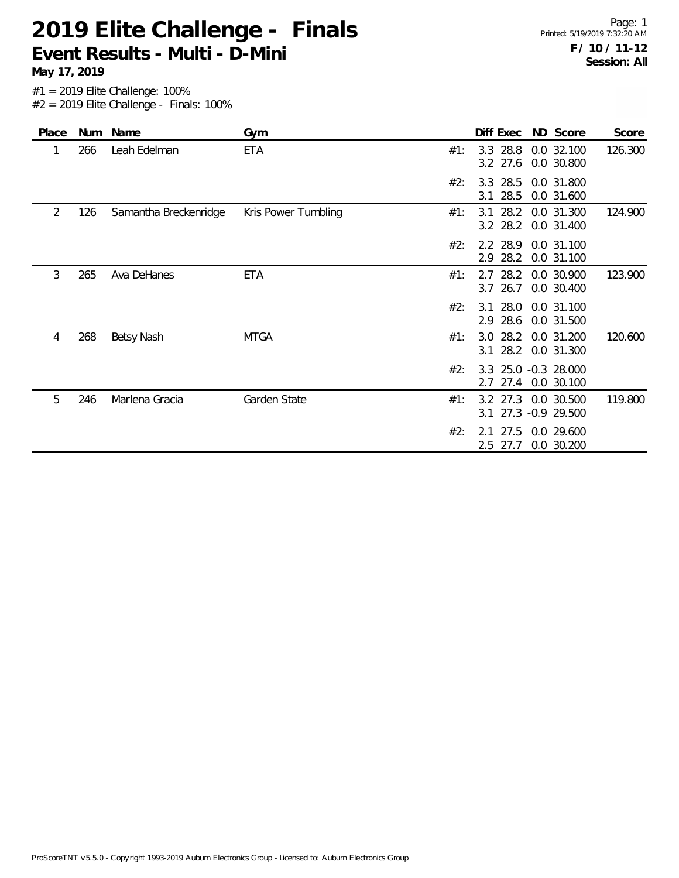**May 17, 2019**

| Place | Num | Name                  | Gym                 |     | Diff Exec                  | ND Score                           | Score   |
|-------|-----|-----------------------|---------------------|-----|----------------------------|------------------------------------|---------|
| 1     | 266 | Leah Edelman          | <b>ETA</b>          | #1: | 3.3 28.8<br>3.2 27.6       | 0.0 32.100<br>0.0 30.800           | 126.300 |
|       |     |                       |                     | #2: | 3.3 28.5<br>28.5<br>3.1    | 0.0 31.800<br>0.0 31.600           |         |
| 2     | 126 | Samantha Breckenridge | Kris Power Tumbling | #1: | 28.2<br>3.1<br>3.2 28.2    | 0.0 31.300<br>0.0 31.400           | 124.900 |
|       |     |                       |                     | #2: | 2.2 28.9<br>28.2<br>2.9    | 0.0 31.100<br>0.0 31.100           |         |
| 3     | 265 | Ava DeHanes           | ETA                 | #1: | 28.2<br>2.7<br>$3.7$ 26.7  | 0.0 30.900<br>0.0 30.400           | 123.900 |
|       |     |                       |                     | #2: | $3.1$ 28.0<br>28.6<br>2.9  | 0.0 31.100<br>0.0 31.500           |         |
| 4     | 268 | Betsy Nash            | <b>MTGA</b>         | #1: | 28.2<br>3.0<br>$3.1$ 28.2  | 0.0 31.200<br>0.0 31.300           | 120.600 |
|       |     |                       |                     | #2: | 27.4<br>2.7                | 3.3 25.0 -0.3 28.000<br>0.0 30.100 |         |
| 5     | 246 | Marlena Gracia        | Garden State        | #1: | 3.2 27.3<br>3.1            | 0.0 30.500<br>27.3 -0.9 29.500     | 119.800 |
|       |     |                       |                     | #2: | 27.5<br>2.1<br>2.5<br>27.7 | 0.0 29.600<br>0.0 30.200           |         |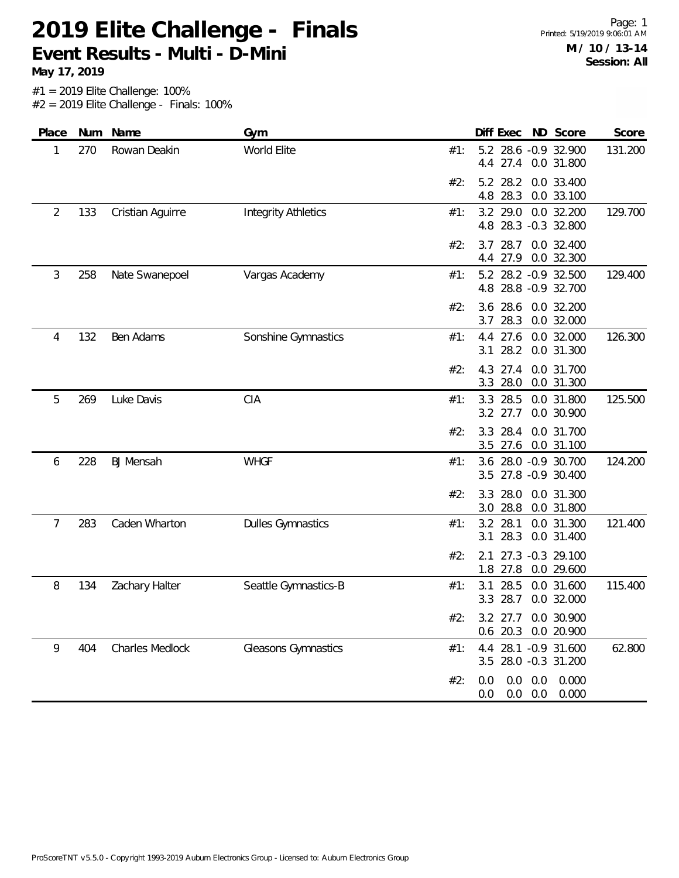**May 17, 2019**

| Place | Num | Name             | Gym                        | ND Score<br>Diff Exec<br>Score                                           |
|-------|-----|------------------|----------------------------|--------------------------------------------------------------------------|
| 1     | 270 | Rowan Deakin     | World Elite                | 5.2 28.6 -0.9 32.900<br>131.200<br>#1:<br>4.4 27.4 0.0 31.800            |
|       |     |                  |                            | #2:<br>5.2 28.2<br>0.0 33.400<br>4.8<br>28.3<br>0.0 33.100               |
| 2     | 133 | Cristian Aguirre | <b>Integrity Athletics</b> | 29.0<br>0.0 32.200<br>129.700<br>3.2<br>#1:<br>28.3 -0.3 32.800<br>4.8   |
|       |     |                  |                            | 28.7<br>0.0 32.400<br>#2:<br>3.7<br>4.4 27.9<br>0.0 32.300               |
| 3     | 258 | Nate Swanepoel   | Vargas Academy             | 5.2 28.2 -0.9 32.500<br>129.400<br>#1:<br>28.8 - 0.9 32.700<br>4.8       |
|       |     |                  |                            | #2:<br>28.6<br>0.0 32.200<br>3.6<br>3.7<br>28.3<br>0.0 32.000            |
| 4     | 132 | Ben Adams        | Sonshine Gymnastics        | 27.6<br>0.0 32.000<br>126.300<br>#1:<br>4.4<br>28.2<br>0.0 31.300<br>3.1 |
|       |     |                  |                            | 4.3 27.4<br>0.0 31.700<br>#2:<br>28.0<br>0.0 31.300<br>3.3               |
| 5     | 269 | Luke Davis       | CIA                        | 28.5<br>#1:<br>3.3<br>0.0 31.800<br>125.500<br>3.2 27.7<br>0.0 30.900    |
|       |     |                  |                            | #2:<br>28.4<br>0.0 31.700<br>3.3<br>0.0 31.100<br>3.5 27.6               |
| 6     | 228 | <b>BJ</b> Mensah | <b>WHGF</b>                | 124.200<br>3.6 28.0 -0.9 30.700<br>#1:<br>27.8 -0.9 30.400<br>3.5        |
|       |     |                  |                            | 3.3<br>28.0<br>0.0 31.300<br>#2:<br>28.8<br>0.0 31.800<br>3.0            |
| 7     | 283 | Caden Wharton    | <b>Dulles Gymnastics</b>   | 28.1<br>121.400<br>3.2<br>0.0 31.300<br>#1:<br>28.3<br>0.0 31.400<br>3.1 |
|       |     |                  |                            | 27.3 -0.3 29.100<br>#2:<br>2.1<br>1.8 27.8<br>0.0 29.600                 |
| 8     | 134 | Zachary Halter   | Seattle Gymnastics-B       | 28.5<br>0.0 31.600<br>115.400<br>#1:<br>3.1<br>28.7<br>3.3<br>0.0 32.000 |
|       |     |                  |                            | #2:<br>3.2 27.7 0.0 30.900<br>0.6 20.3 0.0 20.900                        |
| 9     | 404 | Charles Medlock  | Gleasons Gymnastics        | 4.4 28.1 -0.9 31.600<br>62.800<br>#1:<br>3.5 28.0 -0.3 31.200            |
|       |     |                  |                            | $0.0$ $0.0$ $0.000$<br>#2:<br>0.0<br>$0.0$ $0.0$ $0.000$<br>0.0          |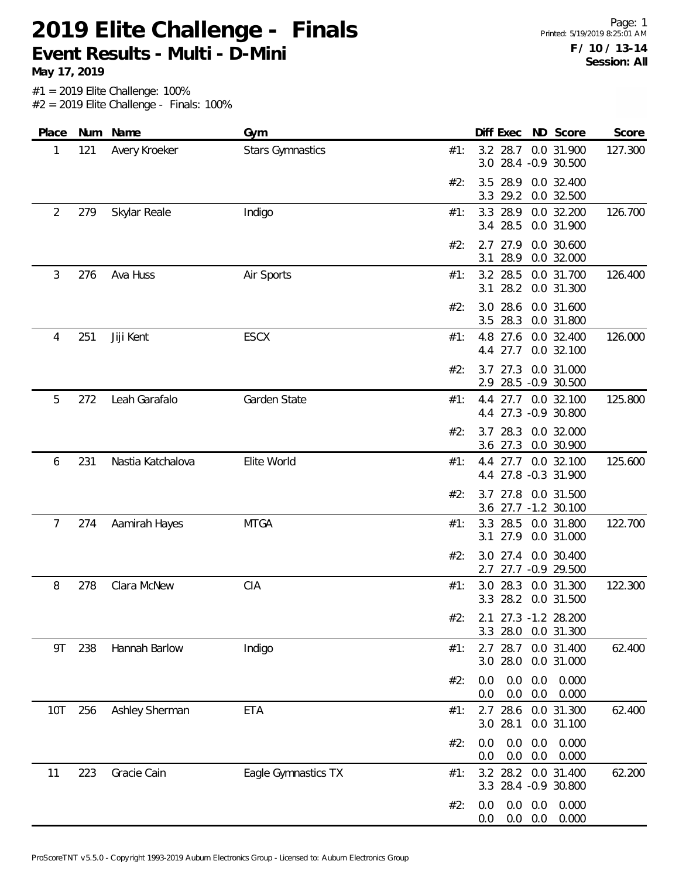**May 17, 2019**

| Place |     | Num Name          | Gym                     |     | ND Score<br>Diff Exec                                    | Score   |
|-------|-----|-------------------|-------------------------|-----|----------------------------------------------------------|---------|
| 1     | 121 | Avery Kroeker     | <b>Stars Gymnastics</b> | #1: | 0.0 31.900<br>3.2 28.7<br>3.0 28.4 -0.9 30.500           | 127.300 |
|       |     |                   |                         | #2: | 28.9<br>0.0 32.400<br>3.5<br>3.3<br>29.2<br>0.0 32.500   |         |
| 2     | 279 | Skylar Reale      | Indigo                  | #1: | 28.9<br>0.0 32.200<br>3.3<br>3.4 28.5<br>0.0 31.900      | 126.700 |
|       |     |                   |                         | #2: | 2.7 27.9<br>0.0 30.600<br>28.9<br>0.0 32.000<br>3.1      |         |
| 3     | 276 | Ava Huss          | Air Sports              | #1: | 3.2 28.5<br>0.0 31.700<br>28.2<br>0.0 31.300<br>3.1      | 126.400 |
|       |     |                   |                         | #2: | 28.6<br>0.0 31.600<br>3.0<br>3.5 28.3<br>0.0 31.800      |         |
| 4     | 251 | Jiji Kent         | <b>ESCX</b>             | #1: | 4.8<br>27.6<br>0.0 32.400<br>27.7<br>0.0 32.100<br>4.4   | 126.000 |
|       |     |                   |                         | #2: | $3.7$ 27.3<br>0.0 31.000<br>28.5 -0.9 30.500<br>2.9      |         |
| 5     | 272 | Leah Garafalo     | Garden State            | #1: | 4.4 27.7<br>0.0 32.100<br>4.4 27.3 -0.9 30.800           | 125.800 |
|       |     |                   |                         | #2: | 3.7 28.3<br>0.0 32.000<br>$3.6$ 27.3<br>0.0 30.900       |         |
| 6     | 231 | Nastia Katchalova | Elite World             | #1: | 4.4 27.7 0.0 32.100<br>4.4 27.8 -0.3 31.900              | 125.600 |
|       |     |                   |                         | #2: | 27.8 0.0 31.500<br>3.7<br>3.6 27.7 -1.2 30.100           |         |
| 7     | 274 | Aamirah Hayes     | <b>MTGA</b>             | #1: | 28.5<br>0.0 31.800<br>3.3<br>27.9<br>0.0 31.000<br>3.1   | 122.700 |
|       |     |                   |                         | #2: | 0.0 30.400<br>$3.0$ 27.4<br>27.7 -0.9 29.500<br>2.7      |         |
| 8     | 278 | Clara McNew       | <b>CIA</b>              | #1: | 3.0 28.3<br>0.0 31.300<br>3.3 28.2 0.0 31.500            | 122.300 |
|       |     |                   |                         | #2: | 2.1 27.3 -1.2 28.200<br>3.3 28.0 0.0 31.300              |         |
| 9T    | 238 | Hannah Barlow     | Indigo                  | #1: | 2.7 28.7 0.0 31.400<br>3.0 28.0<br>0.0 31.000            | 62.400  |
|       |     |                   |                         | #2: | 0.0<br>0.000<br>0.0<br>0.0<br>0.0<br>0.0<br>0.000<br>0.0 |         |
| 10T   | 256 | Ashley Sherman    | <b>ETA</b>              | #1: | $2.7$ 28.6<br>0.0 31.300<br>3.0 28.1<br>0.0 31.100       | 62.400  |
|       |     |                   |                         | #2: | 0.0<br>0.0<br>0.0<br>0.000<br>0.0<br>0.0<br>0.000<br>0.0 |         |
| 11    | 223 | Gracie Cain       | Eagle Gymnastics TX     | #1: | 3.2 28.2<br>0.0 31.400<br>3.3 28.4 -0.9 30.800           | 62.200  |
|       |     |                   |                         | #2: | 0.000<br>0.0<br>0.0<br>0.0<br>0.0<br>0.0<br>0.000<br>0.0 |         |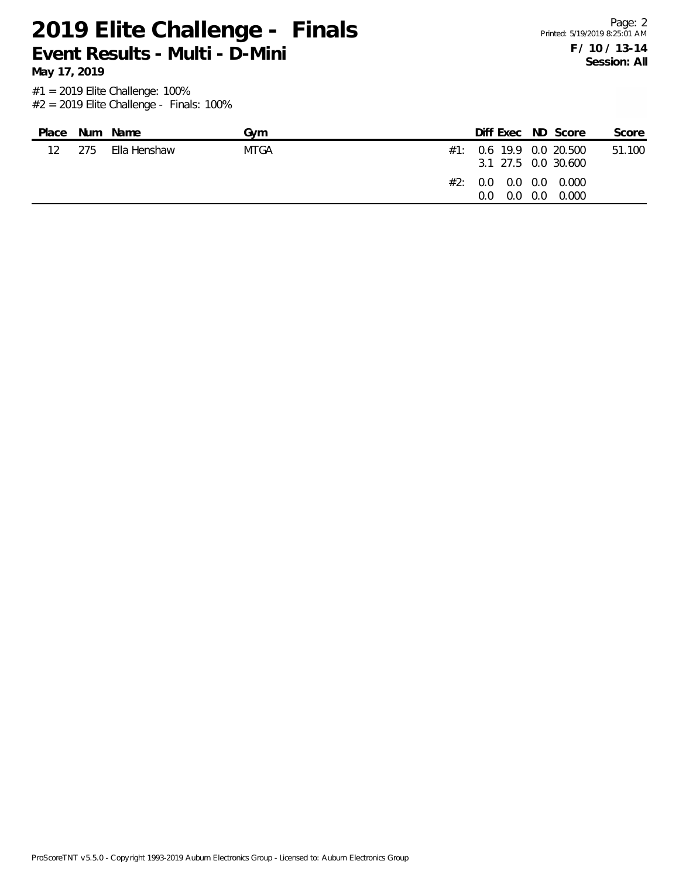**May 17, 2019**

| Place           |     | Num Name     | Gvm  | Diff Exec ND Score                                  |       | Score  |
|-----------------|-----|--------------|------|-----------------------------------------------------|-------|--------|
| 12 <sup>°</sup> | 275 | Ella Henshaw | MTGA | $\#1$ : 0.6 19.9 0.0 20.500<br>3.1 27.5 0.0 30.600  |       | 51.100 |
|                 |     |              |      | #2: 0.0 0.0 0.0 0.000<br>$0.0 \quad 0.0$<br>$0.0^-$ | 0.000 |        |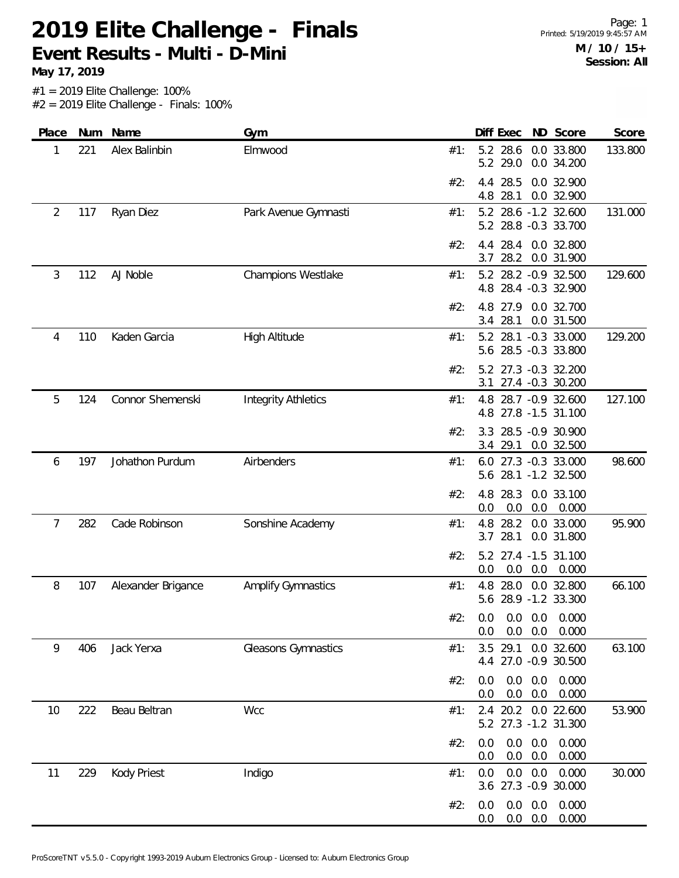**May 17, 2019**

| Place          | Num | Name               | Gym                        |     | Diff Exec                                    |                                  | ND Score                 | Score   |
|----------------|-----|--------------------|----------------------------|-----|----------------------------------------------|----------------------------------|--------------------------|---------|
| 1              | 221 | Alex Balinbin      | Elmwood                    | #1: | 5.2 28.6<br>29.0<br>5.2                      |                                  | 0.0 33.800<br>0.0 34.200 | 133.800 |
|                |     |                    |                            | #2: | 28.5<br>4.4<br>4.8<br>28.1                   |                                  | 0.0 32.900<br>0.0 32.900 |         |
| $\overline{2}$ | 117 | Ryan Diez          | Park Avenue Gymnasti       | #1: | 5.2 28.6 -1.2 32.600<br>5.2 28.8 -0.3 33.700 |                                  |                          | 131.000 |
|                |     |                    |                            | #2: | 28.4<br>4.4<br>28.2<br>3.7                   |                                  | 0.0 32.800<br>0.0 31.900 |         |
| 3              | 112 | AJ Noble           | <b>Champions Westlake</b>  | #1: | 5.2 28.2 -0.9 32.500<br>4.8 28.4 -0.3 32.900 |                                  |                          | 129.600 |
|                |     |                    |                            | #2: | 4.8<br>27.9<br>3.4 28.1                      |                                  | 0.0 32.700<br>0.0 31.500 |         |
| 4              | 110 | Kaden Garcia       | <b>High Altitude</b>       | #1: | 5.2 28.1 -0.3 33.000<br>5.6 28.5 -0.3 33.800 |                                  |                          | 129.200 |
|                |     |                    |                            | #2: | 5.2 27.3 -0.3 32.200<br>3.1                  |                                  | 27.4 -0.3 30.200         |         |
| 5              | 124 | Connor Shemenski   | <b>Integrity Athletics</b> | #1: | 4.8 28.7 -0.9 32.600<br>4.8 27.8 -1.5 31.100 |                                  |                          | 127.100 |
|                |     |                    |                            | #2: | 3.3 28.5 -0.9 30.900<br>3.4 29.1             |                                  | 0.0 32.500               |         |
| 6              | 197 | Johathon Purdum    | Airbenders                 | #1: | 6.0 27.3 -0.3 33.000<br>5.6 28.1 -1.2 32.500 |                                  |                          | 98.600  |
|                |     |                    |                            | #2: | 4.8<br>28.3<br>0.0<br>0.0                    | 0.0                              | 0.0 33.100<br>0.000      |         |
| 7              | 282 | Cade Robinson      | Sonshine Academy           | #1: | 4.8<br>28.2<br>28.1<br>3.7                   |                                  | 0.0 33.000<br>0.0 31.800 | 95.900  |
|                |     |                    |                            | #2: | 5.2 27.4 -1.5 31.100<br>0.0<br>0.0           |                                  | $0.0\quad 0.000$         |         |
| 8              | 107 | Alexander Brigance | <b>Amplify Gymnastics</b>  | #1: | 4.8 28.0<br>5.6 28.9 -1.2 33.300             |                                  | 0.0 32.800               | 66.100  |
|                |     |                    |                            | #2: | $0.0$ $0.0$ $0.0$ $0.000$<br>0.0             |                                  | $0.0$ $0.0$ $0.000$      |         |
| 9              | 406 | Jack Yerxa         | Gleasons Gymnastics        | #1: | 3.5 29.1 0.0 32.600<br>4.4 27.0 -0.9 30.500  |                                  |                          | 63.100  |
|                |     |                    |                            | #2: | 0.0<br>0.0<br>0.0                            | $0.0\quad 0.0$<br>0.0            | 0.000<br>0.000           |         |
| 10             | 222 | Beau Beltran       | Wcc                        | #1: | 2.4 20.2 0.0 22.600<br>5.2 27.3 -1.2 31.300  |                                  |                          | 53.900  |
|                |     |                    |                            | #2: | 0.0<br>0.0<br>0.0                            | $0.0\quad 0.0$<br>0.0            | 0.000<br>0.000           |         |
| 11             | 229 | Kody Priest        | Indigo                     | #1: | 0.0<br>0.0<br>3.6 27.3 -0.9 30.000           | 0.0                              | 0.000                    | 30.000  |
|                |     |                    |                            | #2: | 0.0<br>0.0                                   | $0.0\quad 0.0$<br>$0.0\quad 0.0$ | 0.000<br>0.000           |         |
|                |     |                    |                            |     |                                              |                                  |                          |         |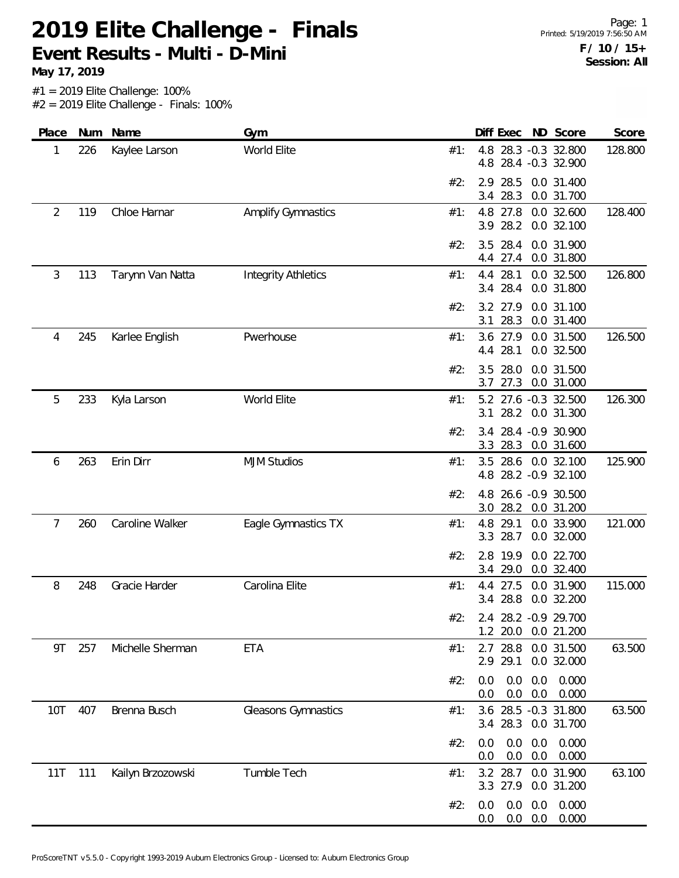**May 17, 2019**

| Place          | <b>Num</b> | Name              | Gym                        |     | Diff Exec                  |                          | ND Score                                    | Score   |
|----------------|------------|-------------------|----------------------------|-----|----------------------------|--------------------------|---------------------------------------------|---------|
| 1              | 226        | Kaylee Larson     | World Elite                | #1: | 4.8<br>4.8                 |                          | 28.3 -0.3 32.800<br>28.4 -0.3 32.900        | 128.800 |
|                |            |                   |                            | #2: | 28.5<br>2.9<br>28.3<br>3.4 |                          | 0.0 31.400<br>0.0 31.700                    |         |
| $\overline{2}$ | 119        | Chloe Harnar      | <b>Amplify Gymnastics</b>  | #1: | 4.8 27.8<br>28.2<br>3.9    |                          | 0.0 32.600<br>0.0 32.100                    | 128.400 |
|                |            |                   |                            | #2: | 28.4<br>3.5<br>27.4<br>4.4 |                          | 0.0 31.900<br>0.0 31.800                    |         |
| 3              | 113        | Tarynn Van Natta  | <b>Integrity Athletics</b> | #1: | 28.1<br>4.4<br>28.4<br>3.4 |                          | 0.0 32.500<br>0.0 31.800                    | 126.800 |
|                |            |                   |                            | #2: | 27.9<br>3.2<br>28.3<br>3.1 |                          | 0.0 31.100<br>0.0 31.400                    |         |
| 4              | 245        | Karlee English    | Pwerhouse                  | #1: | 3.6<br>27.9<br>28.1<br>4.4 |                          | 0.0 31.500<br>0.0 32.500                    | 126.500 |
|                |            |                   |                            | #2: | 28.0<br>3.5<br>27.3<br>3.7 |                          | 0.0 31.500<br>0.0 31.000                    |         |
| 5              | 233        | Kyla Larson       | World Elite                | #1: |                            |                          | 5.2 27.6 -0.3 32.500<br>3.1 28.2 0.0 31.300 | 126.300 |
|                |            |                   |                            | #2: | 3.3<br>28.3                |                          | 3.4 28.4 -0.9 30.900<br>0.0 31.600          |         |
| 6              | 263        | Erin Dirr         | <b>MJM Studios</b>         | #1: | 4.8                        |                          | 3.5 28.6 0.0 32.100<br>28.2 - 0.9 32.100    | 125.900 |
|                |            |                   |                            | #2: | 4.8<br>3.0                 |                          | 26.6 -0.9 30.500<br>28.2 0.0 31.200         |         |
| 7              | 260        | Caroline Walker   | Eagle Gymnastics TX        | #1: | 29.1<br>4.8<br>28.7<br>3.3 |                          | 0.0 33.900<br>0.0 32.000                    | 121.000 |
|                |            |                   |                            | #2: | 2.8<br>19.9<br>29.0<br>3.4 |                          | 0.0 22.700<br>0.0 32.400                    |         |
| 8              | 248        | Gracie Harder     | Carolina Elite             | #1: | 4.4 27.5<br>3.4 28.8       |                          | 0.0 31.900<br>0.0 32.200                    | 115.000 |
|                |            |                   |                            | #2: |                            |                          | 2.4 28.2 -0.9 29.700<br>1.2 20.0 0.0 21.200 |         |
| 9T             | 257        | Michelle Sherman  | <b>ETA</b>                 | #1: | 2.7 28.8<br>29.1<br>2.9    |                          | 0.0 31.500<br>0.0 32.000                    | 63.500  |
|                |            |                   |                            | #2: | 0.0<br>0.0                 | 0.0<br>0.0<br>$0.0\ 0.0$ | 0.000<br>0.000                              |         |
| 10T            | 407        | Brenna Busch      | Gleasons Gymnastics        | #1: | 3.4 28.3                   |                          | 3.6 28.5 -0.3 31.800<br>0.0 31.700          | 63.500  |
|                |            |                   |                            | #2: | 0.0<br>0.0                 | 0.0<br>0.0<br>0.0<br>0.0 | 0.000<br>0.000                              |         |
| 11T            | 111        | Kailyn Brzozowski | Tumble Tech                | #1: | 3.2 28.7                   |                          | 0.0 31.900<br>3.3 27.9 0.0 31.200           | 63.100  |
|                |            |                   |                            | #2: | 0.0<br>0.0                 | $0.0\ 0.0$<br>$0.0\ 0.0$ | 0.000<br>0.000                              |         |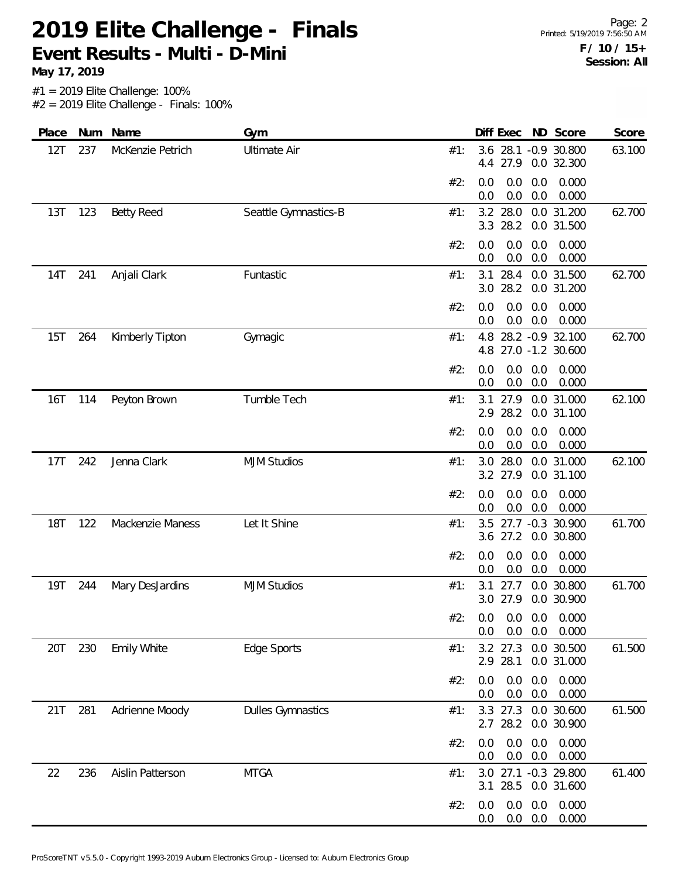#1 = 2019 Elite Challenge: 100% **May 17, 2019**

 $#2 = 2019$  Elite Challenge - Finals: 100%

| Place      | Num | Name               | Gym                      |     |            | Diff Exec            |                   | ND Score                                | Score  |
|------------|-----|--------------------|--------------------------|-----|------------|----------------------|-------------------|-----------------------------------------|--------|
| 12T        | 237 | McKenzie Petrich   | <b>Ultimate Air</b>      | #1: | 3.6<br>4.4 | 27.9                 |                   | 28.1 -0.9 30.800<br>0.0 32.300          | 63.100 |
|            |     |                    |                          | #2: | 0.0<br>0.0 | 0.0<br>0.0           | 0.0<br>0.0        | 0.000<br>0.000                          |        |
| 13T        | 123 | <b>Betty Reed</b>  | Seattle Gymnastics-B     | #1: | 3.3        | 3.2 28.0<br>28.2     |                   | 0.0 31.200<br>0.0 31.500                | 62.700 |
|            |     |                    |                          | #2: | 0.0<br>0.0 | 0.0<br>0.0           | 0.0<br>0.0        | 0.000<br>0.000                          |        |
| 14T        | 241 | Anjali Clark       | Funtastic                | #1: | 3.1<br>3.0 | 28.4<br>28.2         |                   | 0.0 31.500<br>0.0 31.200                | 62.700 |
|            |     |                    |                          | #2: | 0.0<br>0.0 | 0.0<br>0.0           | 0.0<br>0.0        | 0.000<br>0.000                          |        |
| 15T        | 264 | Kimberly Tipton    | Gymagic                  | #1: | 4.8<br>4.8 |                      |                   | 28.2 - 0.9 32.100<br>27.0 -1.2 30.600   | 62.700 |
|            |     |                    |                          | #2: | 0.0<br>0.0 | 0.0<br>0.0           | 0.0<br>0.0        | 0.000<br>0.000                          |        |
| 16T        | 114 | Peyton Brown       | Tumble Tech              | #1: | 3.1<br>2.9 | 27.9<br>28.2         |                   | 0.0 31.000<br>0.0 31.100                | 62.100 |
|            |     |                    |                          | #2: | 0.0<br>0.0 | 0.0<br>0.0           | 0.0<br>0.0        | 0.000<br>0.000                          |        |
| 17T        | 242 | Jenna Clark        | <b>MJM Studios</b>       | #1: | 3.0        | 28.0<br>3.2 27.9     |                   | 0.0 31.000<br>0.0 31.100                | 62.100 |
|            |     |                    |                          | #2: | 0.0<br>0.0 | 0.0<br>0.0           | 0.0<br>0.0        | 0.000<br>0.000                          |        |
| <b>18T</b> | 122 | Mackenzie Maness   | Let It Shine             | #1: | 3.5<br>3.6 | 27.2                 |                   | 27.7 -0.3 30.900<br>0.0 30.800          | 61.700 |
|            |     |                    |                          | #2: | 0.0<br>0.0 | 0.0<br>0.0           | 0.0<br>0.0        | 0.000<br>0.000                          |        |
| 19T        | 244 | Mary DesJardins    | <b>MJM Studios</b>       | #1: | 3.1        | 27.7<br>3.0 27.9     |                   | 0.0 30.800<br>0.0 30.900                | 61.700 |
|            |     |                    |                          | #2: | 0.0        |                      | $0.0\quad 0.0$    | $0.0$ $0.0$ $0.0$ $0.000$<br>0.000      |        |
| 20T        | 230 | <b>Emily White</b> | Edge Sports              | #1: | 2.9        | 28.1                 |                   | 3.2 27.3 0.0 30.500<br>0.0 31.000       | 61.500 |
|            |     |                    |                          | #2: | 0.0<br>0.0 | 0.0<br>0.0           | 0.0<br>0.0        | 0.000<br>0.000                          |        |
| 21T        | 281 | Adrienne Moody     | <b>Dulles Gymnastics</b> | #1: |            | 3.3 27.3<br>2.7 28.2 |                   | 0.0 30.600<br>0.0 30.900                | 61.500 |
|            |     |                    |                          | #2: | 0.0<br>0.0 | 0.0<br>0.0           | 0.0<br>0.0        | 0.000<br>0.000                          |        |
| 22         | 236 | Aislin Patterson   | <b>MTGA</b>              | #1: | 3.0        |                      |                   | 27.1 -0.3 29.800<br>3.1 28.5 0.0 31.600 | 61.400 |
|            |     |                    |                          | #2: | 0.0<br>0.0 | 0.0                  | 0.0<br>$0.0\ 0.0$ | 0.000<br>0.000                          |        |